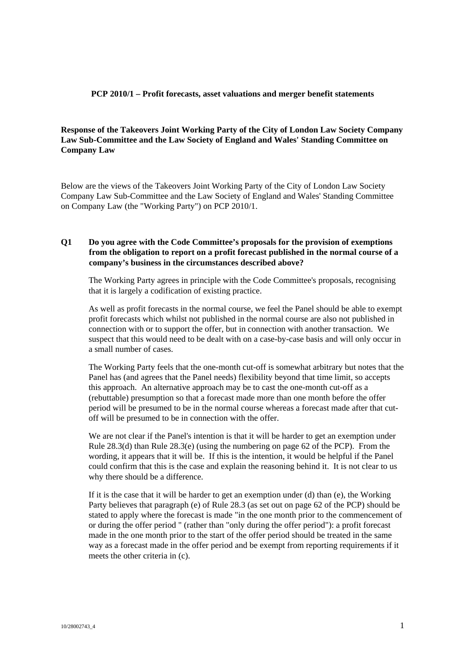#### **PCP 2010/1 – Profit forecasts, asset valuations and merger benefit statements**

## **Response of the Takeovers Joint Working Party of the City of London Law Society Company Law Sub-Committee and the Law Society of England and Wales' Standing Committee on Company Law**

Below are the views of the Takeovers Joint Working Party of the City of London Law Society Company Law Sub-Committee and the Law Society of England and Wales' Standing Committee on Company Law (the "Working Party") on PCP 2010/1.

## **Q1 Do you agree with the Code Committee's proposals for the provision of exemptions from the obligation to report on a profit forecast published in the normal course of a company's business in the circumstances described above?**

The Working Party agrees in principle with the Code Committee's proposals, recognising that it is largely a codification of existing practice.

As well as profit forecasts in the normal course, we feel the Panel should be able to exempt profit forecasts which whilst not published in the normal course are also not published in connection with or to support the offer, but in connection with another transaction. We suspect that this would need to be dealt with on a case-by-case basis and will only occur in a small number of cases.

The Working Party feels that the one-month cut-off is somewhat arbitrary but notes that the Panel has (and agrees that the Panel needs) flexibility beyond that time limit, so accepts this approach. An alternative approach may be to cast the one-month cut-off as a (rebuttable) presumption so that a forecast made more than one month before the offer period will be presumed to be in the normal course whereas a forecast made after that cutoff will be presumed to be in connection with the offer.

We are not clear if the Panel's intention is that it will be harder to get an exemption under Rule  $28.3$ (d) than Rule  $28.3$ (e) (using the numbering on page 62 of the PCP). From the wording, it appears that it will be. If this is the intention, it would be helpful if the Panel could confirm that this is the case and explain the reasoning behind it. It is not clear to us why there should be a difference.

If it is the case that it will be harder to get an exemption under (d) than (e), the Working Party believes that paragraph (e) of Rule 28.3 (as set out on page 62 of the PCP) should be stated to apply where the forecast is made "in the one month prior to the commencement of or during the offer period " (rather than "only during the offer period"): a profit forecast made in the one month prior to the start of the offer period should be treated in the same way as a forecast made in the offer period and be exempt from reporting requirements if it meets the other criteria in (c).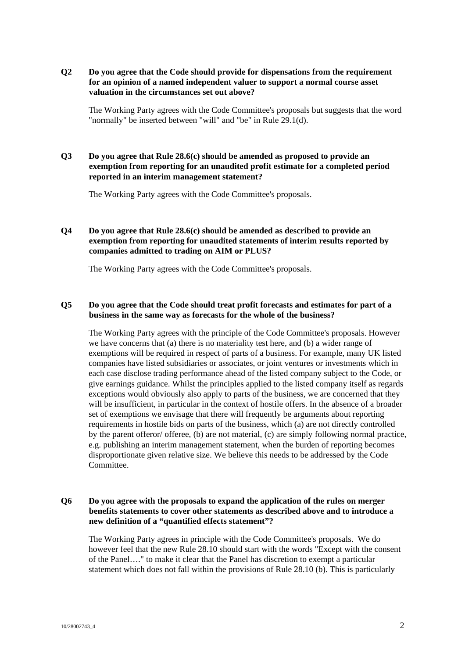#### **Q2 Do you agree that the Code should provide for dispensations from the requirement for an opinion of a named independent valuer to support a normal course asset valuation in the circumstances set out above?**

The Working Party agrees with the Code Committee's proposals but suggests that the word "normally" be inserted between "will" and "be" in Rule 29.1(d).

## **Q3 Do you agree that Rule 28.6(c) should be amended as proposed to provide an exemption from reporting for an unaudited profit estimate for a completed period reported in an interim management statement?**

The Working Party agrees with the Code Committee's proposals.

# **Q4 Do you agree that Rule 28.6(c) should be amended as described to provide an exemption from reporting for unaudited statements of interim results reported by companies admitted to trading on AIM or PLUS?**

The Working Party agrees with the Code Committee's proposals.

## **Q5 Do you agree that the Code should treat profit forecasts and estimates for part of a business in the same way as forecasts for the whole of the business?**

The Working Party agrees with the principle of the Code Committee's proposals. However we have concerns that (a) there is no materiality test here, and (b) a wider range of exemptions will be required in respect of parts of a business. For example, many UK listed companies have listed subsidiaries or associates, or joint ventures or investments which in each case disclose trading performance ahead of the listed company subject to the Code, or give earnings guidance. Whilst the principles applied to the listed company itself as regards exceptions would obviously also apply to parts of the business, we are concerned that they will be insufficient, in particular in the context of hostile offers. In the absence of a broader set of exemptions we envisage that there will frequently be arguments about reporting requirements in hostile bids on parts of the business, which (a) are not directly controlled by the parent offeror/ offeree, (b) are not material, (c) are simply following normal practice, e.g. publishing an interim management statement, when the burden of reporting becomes disproportionate given relative size. We believe this needs to be addressed by the Code Committee.

## **Q6 Do you agree with the proposals to expand the application of the rules on merger benefits statements to cover other statements as described above and to introduce a new definition of a "quantified effects statement"?**

The Working Party agrees in principle with the Code Committee's proposals. We do however feel that the new Rule 28.10 should start with the words "Except with the consent of the Panel…." to make it clear that the Panel has discretion to exempt a particular statement which does not fall within the provisions of Rule 28.10 (b). This is particularly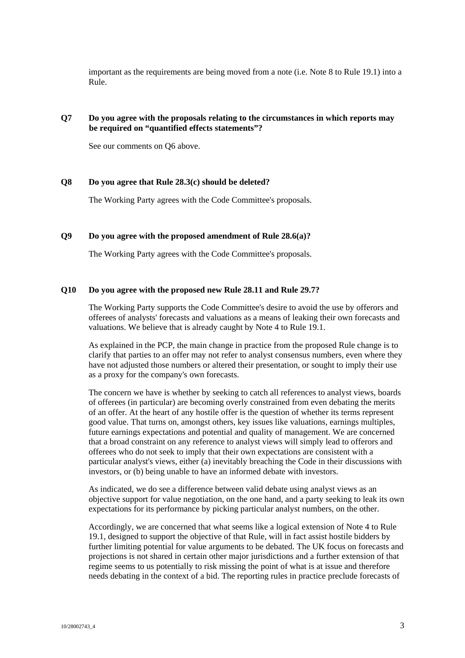important as the requirements are being moved from a note (i.e. Note 8 to Rule 19.1) into a Rule.

## **Q7 Do you agree with the proposals relating to the circumstances in which reports may be required on "quantified effects statements"?**

See our comments on Q6 above.

#### **Q8 Do you agree that Rule 28.3(c) should be deleted?**

The Working Party agrees with the Code Committee's proposals.

## **Q9 Do you agree with the proposed amendment of Rule 28.6(a)?**

The Working Party agrees with the Code Committee's proposals.

#### **Q10 Do you agree with the proposed new Rule 28.11 and Rule 29.7?**

The Working Party supports the Code Committee's desire to avoid the use by offerors and offerees of analysts' forecasts and valuations as a means of leaking their own forecasts and valuations. We believe that is already caught by Note 4 to Rule 19.1.

As explained in the PCP, the main change in practice from the proposed Rule change is to clarify that parties to an offer may not refer to analyst consensus numbers, even where they have not adjusted those numbers or altered their presentation, or sought to imply their use as a proxy for the company's own forecasts.

The concern we have is whether by seeking to catch all references to analyst views, boards of offerees (in particular) are becoming overly constrained from even debating the merits of an offer. At the heart of any hostile offer is the question of whether its terms represent good value. That turns on, amongst others, key issues like valuations, earnings multiples, future earnings expectations and potential and quality of management. We are concerned that a broad constraint on any reference to analyst views will simply lead to offerors and offerees who do not seek to imply that their own expectations are consistent with a particular analyst's views, either (a) inevitably breaching the Code in their discussions with investors, or (b) being unable to have an informed debate with investors.

As indicated, we do see a difference between valid debate using analyst views as an objective support for value negotiation, on the one hand, and a party seeking to leak its own expectations for its performance by picking particular analyst numbers, on the other.

Accordingly, we are concerned that what seems like a logical extension of Note 4 to Rule 19.1, designed to support the objective of that Rule, will in fact assist hostile bidders by further limiting potential for value arguments to be debated. The UK focus on forecasts and projections is not shared in certain other major jurisdictions and a further extension of that regime seems to us potentially to risk missing the point of what is at issue and therefore needs debating in the context of a bid. The reporting rules in practice preclude forecasts of